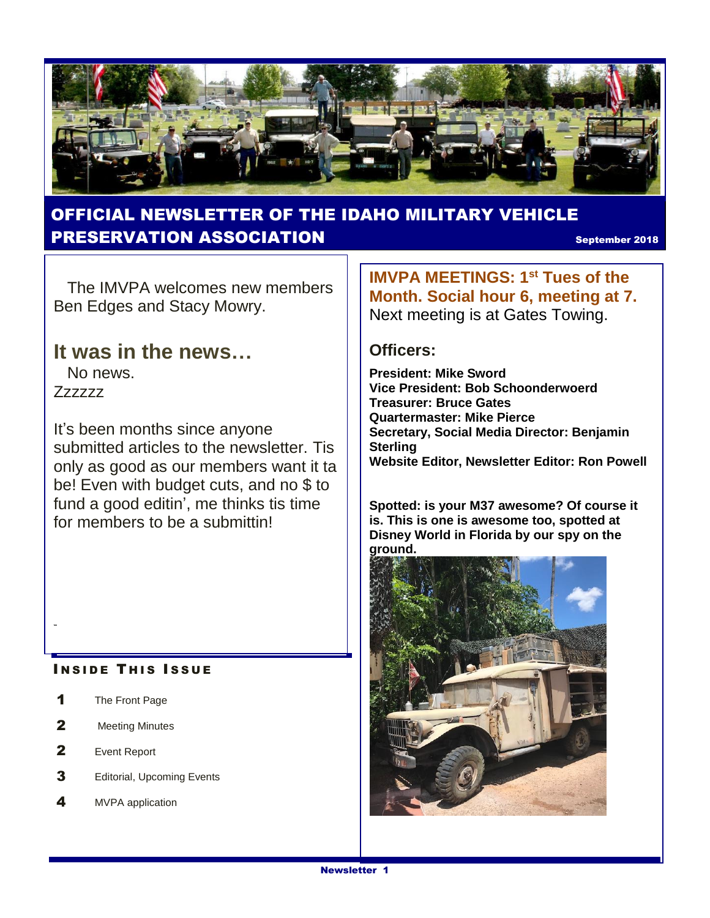

#### OFFICIAL NEWSLETTER OF THE IDAHO MILITARY VEHICLE **PRESERVATION ASSOCIATION** September 2018

 The IMVPA welcomes new members Ben Edges and Stacy Mowry.

#### **It was in the news…**

 No news. Zzzzzz

It's been months since anyone submitted articles to the newsletter. Tis only as good as our members want it ta be! Even with budget cuts, and no \$ to fund a good editin', me thinks tis time for members to be a submittin!

#### **INSIDE THIS ISSUE**

- 1 The Front Page
- 2 Meeting Minutes
- 2 Event Report
- **3** Editorial, Upcoming Events
- 4 MVPA application

**IMVPA MEETINGS: 1st Tues of the Month. Social hour 6, meeting at 7.**  Next meeting is at Gates Towing.

#### **Officers:**

**President: Mike Sword Vice President: Bob Schoonderwoerd Treasurer: Bruce Gates Quartermaster: Mike Pierce Secretary, Social Media Director: Benjamin Sterling Website Editor, Newsletter Editor: Ron Powell**

**Spotted: is your M37 awesome? Of course it is. This is one is awesome too, spotted at Disney World in Florida by our spy on the ground.**

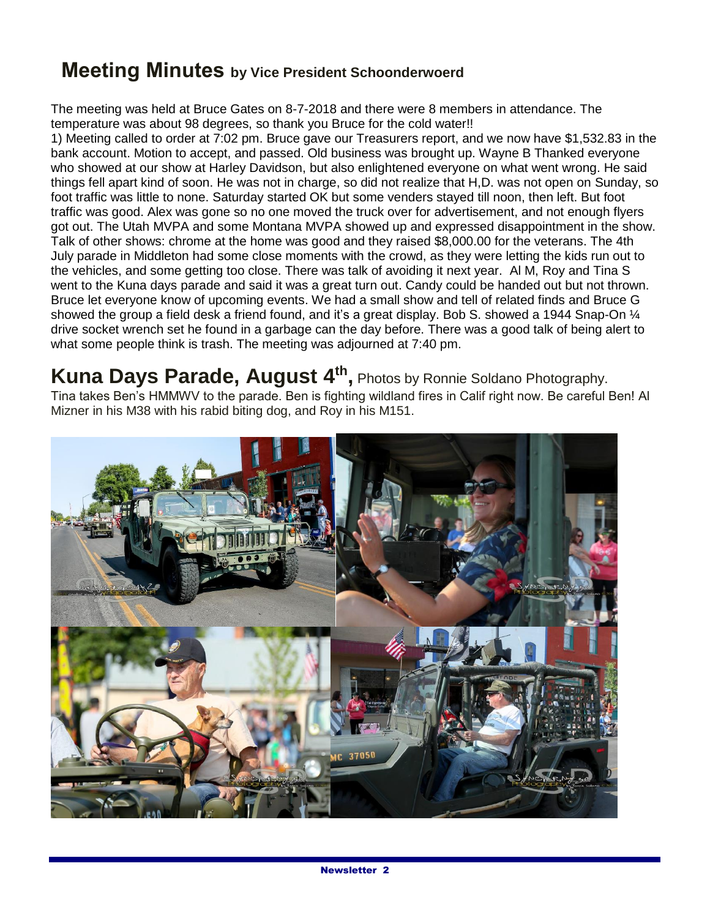## **Meeting Minutes by Vice President Schoonderwoerd**

The meeting was held at Bruce Gates on 8-7-2018 and there were 8 members in attendance. The temperature was about 98 degrees, so thank you Bruce for the cold water!!

1) Meeting called to order at 7:02 pm. Bruce gave our Treasurers report, and we now have \$1,532.83 in the bank account. Motion to accept, and passed. Old business was brought up. Wayne B Thanked everyone who showed at our show at Harley Davidson, but also enlightened everyone on what went wrong. He said things fell apart kind of soon. He was not in charge, so did not realize that H,D. was not open on Sunday, so foot traffic was little to none. Saturday started OK but some venders stayed till noon, then left. But foot traffic was good. Alex was gone so no one moved the truck over for advertisement, and not enough flyers got out. The Utah MVPA and some Montana MVPA showed up and expressed disappointment in the show. Talk of other shows: chrome at the home was good and they raised \$8,000.00 for the veterans. The 4th July parade in Middleton had some close moments with the crowd, as they were letting the kids run out to the vehicles, and some getting too close. There was talk of avoiding it next year. Al M, Roy and Tina S went to the Kuna days parade and said it was a great turn out. Candy could be handed out but not thrown. Bruce let everyone know of upcoming events. We had a small show and tell of related finds and Bruce G showed the group a field desk a friend found, and it's a great display. Bob S. showed a 1944 Snap-On  $\frac{1}{4}$ drive socket wrench set he found in a garbage can the day before. There was a good talk of being alert to what some people think is trash. The meeting was adjourned at 7:40 pm.

**Kuna Days Parade, August 4th ,** Photos by Ronnie Soldano Photography. Tina takes Ben's HMMWV to the parade. Ben is fighting wildland fires in Calif right now. Be careful Ben! Al Mizner in his M38 with his rabid biting dog, and Roy in his M151.

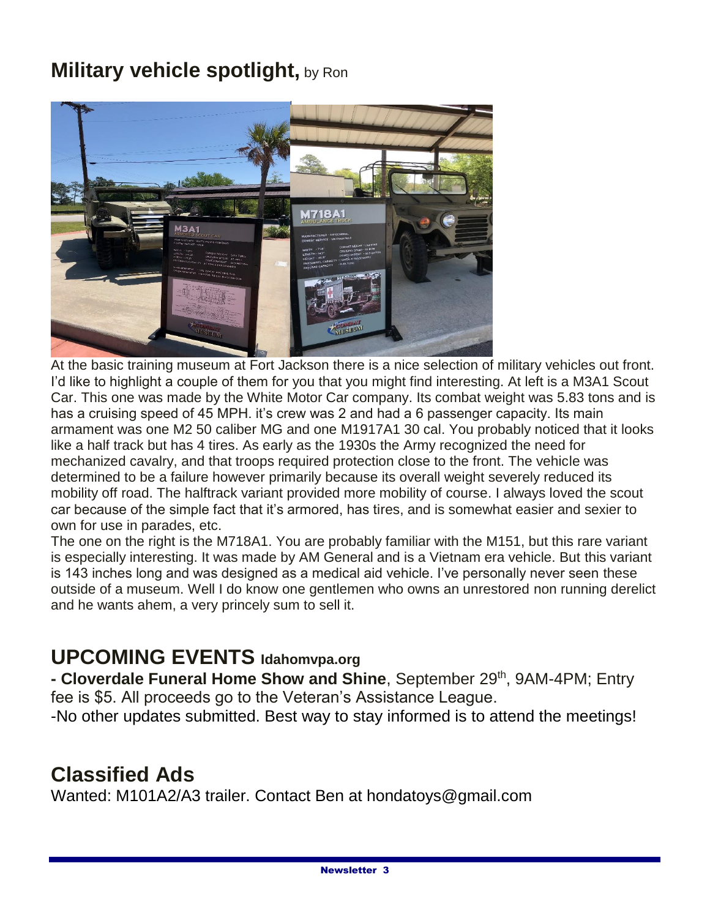## **Military vehicle spotlight, by Ron**



At the basic training museum at Fort Jackson there is a nice selection of military vehicles out front. I'd like to highlight a couple of them for you that you might find interesting. At left is a M3A1 Scout Car. This one was made by the White Motor Car company. Its combat weight was 5.83 tons and is has a cruising speed of 45 MPH. it's crew was 2 and had a 6 passenger capacity. Its main armament was one M2 50 caliber MG and one M1917A1 30 cal. You probably noticed that it looks like a half track but has 4 tires. As early as the 1930s the Army recognized the need for mechanized cavalry, and that troops required protection close to the front. The vehicle was determined to be a failure however primarily because its overall weight severely reduced its mobility off road. The halftrack variant provided more mobility of course. I always loved the scout car because of the simple fact that it's armored, has tires, and is somewhat easier and sexier to own for use in parades, etc.

The one on the right is the M718A1. You are probably familiar with the M151, but this rare variant is especially interesting. It was made by AM General and is a Vietnam era vehicle. But this variant is 143 inches long and was designed as a medical aid vehicle. I've personally never seen these outside of a museum. Well I do know one gentlemen who owns an unrestored non running derelict and he wants ahem, a very princely sum to sell it.

## **UPCOMING EVENTS Idahomvpa.org**

**- Cloverdale Funeral Home Show and Shine**, September 29th, 9AM-4PM; Entry fee is \$5. All proceeds go to the Veteran's Assistance League.

-No other updates submitted. Best way to stay informed is to attend the meetings!

## **Classified Ads**

Wanted: M101A2/A3 trailer. Contact Ben at hondatoys@gmail.com